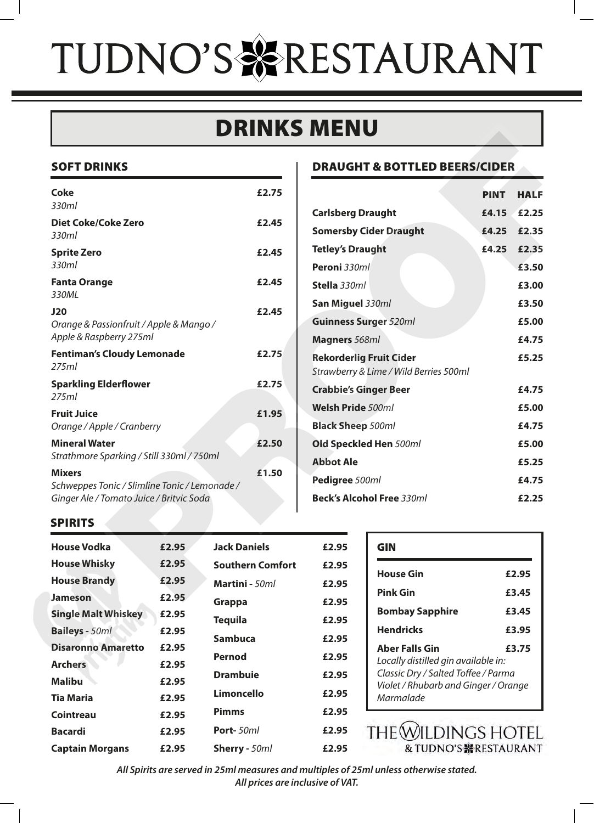# TUDNO'S & RESTAURANT

# DRINKS MENU

### SOFT DRINKS

| <b>Coke</b><br>330ml                                                                                       | £2.75 |
|------------------------------------------------------------------------------------------------------------|-------|
| Diet Coke/Coke Zero<br>330ml                                                                               | £2.45 |
| <b>Sprite Zero</b><br>330ml                                                                                | £2.45 |
| <b>Fanta Orange</b><br>330ML                                                                               | £2.45 |
| J20<br>Orange & Passionfruit / Apple & Mango /<br>Apple & Raspberry 275ml                                  | £2.45 |
| <b>Fentiman's Cloudy Lemonade</b><br>275ml                                                                 | £2.75 |
| <b>Sparkling Elderflower</b><br>275ml                                                                      | £2.75 |
| <b>Fruit Juice</b><br>Orange / Apple / Cranberry                                                           | £1.95 |
| <b>Mineral Water</b><br>Strathmore Sparking / Still 330ml / 750ml                                          | £2.50 |
| <b>Mixers</b><br>Schweppes Tonic / Slimline Tonic / Lemonade /<br>Ginger Ale / Tomato Juice / Britvic Soda | £1.50 |

### SPIRITS

| <b>House Vodka</b>         | £2.95 | <b>Jack Daniels</b>     | £2.95 |
|----------------------------|-------|-------------------------|-------|
| <b>House Whisky</b>        | £2.95 | <b>Southern Comfort</b> | £2.95 |
| <b>House Brandy</b>        | £2.95 | <b>Martini</b> - 50ml   | £2.95 |
| <b>Jameson</b>             | £2.95 | Grappa                  | £2.95 |
| <b>Single Malt Whiskey</b> | £2.95 | <b>Tequila</b>          | £2.95 |
| <b>Baileys</b> - 50ml      | £2.95 | Sambuca                 | £2.95 |
| <b>Disaronno Amaretto</b>  | £2.95 |                         |       |
| <b>Archers</b>             | £2.95 | Pernod                  | £2.95 |
| <b>Malibu</b>              | £2.95 | <b>Drambuie</b>         | £2.95 |
| Tia Maria                  | £2.95 | Limoncello              | £2.95 |
| Cointreau                  | £2.95 | <b>Pimms</b>            | £2.95 |
| <b>Bacardi</b>             | £2.95 | <b>Port-</b> 50ml       | £2.95 |
| <b>Captain Morgans</b>     | £2.95 | Sherry - 50ml           | £2.95 |

### DRAUGHT & BOTTLED BEERS/CIDER

|                                                                           |                               |                     |                         | IIN YA IVILLIN                      |                                          |                                      |             |
|---------------------------------------------------------------------------|-------------------------------|---------------------|-------------------------|-------------------------------------|------------------------------------------|--------------------------------------|-------------|
| <b>NKS</b>                                                                |                               |                     |                         |                                     | <b>DRAUGHT &amp; BOTTLED BEERS/CIDER</b> |                                      |             |
|                                                                           |                               |                     | £2.75                   |                                     |                                          | <b>PINT</b>                          | <b>HALF</b> |
|                                                                           |                               |                     |                         | <b>Carlsberg Draught</b>            |                                          | £4.15                                | £2.25       |
| oke Zero                                                                  |                               |                     | £2.45                   |                                     | <b>Somersby Cider Draught</b>            | £4.25                                | £2.35       |
|                                                                           |                               |                     | £2.45                   | <b>Tetley's Draught</b>             |                                          | £4.25                                | £2.35       |
|                                                                           |                               |                     |                         | Peroni 330ml                        |                                          |                                      | £3.50       |
| ıе                                                                        |                               |                     | £2.45                   | Stella 330ml                        |                                          |                                      | £3.00       |
|                                                                           |                               |                     | £2.45                   | San Miguel 330ml                    |                                          |                                      | £3.50       |
| sionfruit / Apple & Mango /                                               |                               |                     |                         | <b>Guinness Surger 520ml</b>        |                                          |                                      | £5.00       |
| berry 275ml                                                               |                               |                     |                         | Magners 568ml                       |                                          |                                      | £4.75       |
| <b>Cloudy Lemonade</b>                                                    |                               |                     | £2.75                   | <b>Rekorderlig Fruit Cider</b>      |                                          |                                      | £5.25       |
| derflower                                                                 |                               |                     | £2.75                   |                                     | Strawberry & Lime / Wild Berries 500ml   |                                      |             |
|                                                                           |                               |                     |                         | <b>Crabbie's Ginger Beer</b>        |                                          |                                      | £4.75       |
|                                                                           |                               |                     | £1.95                   | Welsh Pride 500ml                   |                                          |                                      | £5.00       |
| le / Cranberry                                                            |                               |                     |                         | <b>Black Sheep 500ml</b>            |                                          |                                      | £4.75       |
| er                                                                        | parking / Still 330ml / 750ml |                     | £2.50                   |                                     | Old Speckled Hen 500ml                   |                                      | £5.00       |
| £1.50<br>onic / Slimline Tonic / Lemonade /<br>omato Juice / Britvic Soda |                               |                     | <b>Abbot Ale</b>        |                                     |                                          | £5.25                                |             |
|                                                                           |                               |                     | Pedigree 500ml          |                                     |                                          | £4.75                                |             |
|                                                                           |                               |                     |                         |                                     | <b>Beck's Alcohol Free 330ml</b>         |                                      | £2.25       |
|                                                                           |                               |                     |                         |                                     |                                          |                                      |             |
| a                                                                         | £2.95                         | <b>Jack Daniels</b> |                         | £2.95                               | <b>GIN</b>                               |                                      |             |
| ky                                                                        | £2.95                         |                     | <b>Southern Comfort</b> | £2.95                               | <b>House Gin</b>                         |                                      | £2.95       |
| dy                                                                        | £2.95                         | Martini - 50ml      |                         | £2.95                               | <b>Pink Gin</b>                          |                                      | £3.45       |
| Whiskey                                                                   | £2.95<br>£2.95                | Grappa              |                         | £2.95                               | <b>Bombay Sapphire</b>                   |                                      | £3.45       |
| ηľ                                                                        | £2.95                         | <b>Tequila</b>      |                         | £2.95                               | <b>Hendricks</b>                         |                                      | £3.95       |
| £2.95<br><b>Imaretto</b><br>£2.95                                         | <b>Sambuca</b>                |                     | £2.95                   | <b>Aber Falls Gin</b>               |                                          | £3.75                                |             |
|                                                                           | Pernod                        |                     | £2.95                   | Locally distilled gin available in: |                                          |                                      |             |
| £2.95                                                                     |                               | <b>Drambuie</b>     |                         | £2.95                               | Classic Dry / Salted Toffee / Parma      |                                      |             |
|                                                                           | £2.95                         | <b>Limoncello</b>   |                         | £2.95                               | Marmalade                                | Violet / Rhubarb and Ginger / Orange |             |

| GIN                                                                                                                                                               |       |
|-------------------------------------------------------------------------------------------------------------------------------------------------------------------|-------|
| <b>House Gin</b>                                                                                                                                                  | £2.95 |
| <b>Pink Gin</b>                                                                                                                                                   | £3.45 |
| <b>Bombay Sapphire</b>                                                                                                                                            | £3.45 |
| <b>Hendricks</b>                                                                                                                                                  | £3.95 |
| <b>Aber Falls Gin</b><br>£3.75<br>Locally distilled gin available in:<br>Classic Dry / Salted Toffee / Parma<br>Violet / Rhubarb and Ginger / Orange<br>Marmalade |       |

THE WILDINGS HOTEL & TUDNO'S ※RESTAURANT

*All Spirits are served in 25ml measures and multiples of 25ml unless otherwise stated. All prices are inclusive of VAT.*